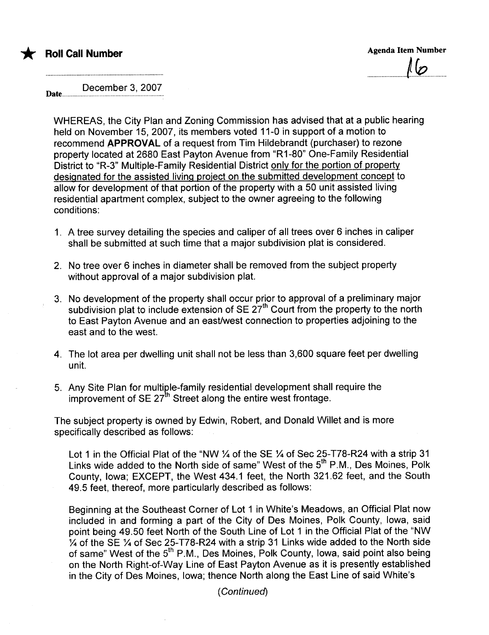

.................................l~.............................

December 3, 2007 Date...........

WHEREAS, the City Plan and Zoning Commission has advised that at a public hearing held on November 15, 2007, its members voted 11-0 in support of a motion to recommend APPROVAL of a request from Tim Hildebrandt (purchaser) to rezone property located at 2680 East Payton Avenue from "R1-80" One-Family Residential District to "R-3" Multiple-Family Residential District only for the portion of property designated for the assisted living project on the submitted development concept to allow for development of that portion of the property with a 50 unit assisted living residential apartment complex, subject to the owner agreeing to the following conditions:

- 1. A tree survey detailing the species and caliper of all trees over 6 inches in caliper shall be submitted at such time that a major subdivision plat is considered.
- 2. No tree over 6 inches in diameter shall be removed from the subject property without approval of a major subdivision plat.
- 3. No development of the property shall occur prior to approval of a preliminary major subdivision plat to include extension of SE  $27<sup>th</sup>$  Court from the property to the north to East Payton Avenue and an east/west connection to properties adjoining to the east and to the west.
- 4. The lot area per dwelling unit shall not be less than 3,600 square feet per dwelling unit.
- 5. Any Site Plan for multiple-family residential development shall require the improvement of SE  $27<sup>th</sup>$  Street along the entire west frontage.

The subject property is owned by Edwin, Robert, and Donald Willet and is more specifically described as follows:

Lot 1 in the Official Plat of the "NW 1/4 of the SE 1/4 of Sec 25-T78-R24 with a strip 31 Links wide added to the North side of same" West of the 5<sup>th</sup> P.M., Des Moines, Polk County, Iowa; EXCEPT, the West 434.1 feet, the North 321.62 feet, and the South 49.5 feet, thereof, more particularly described as follows:

Beginning at the Southeast Corner of Lot 1 in White's Meadows, an Official Plat now included in and forming a part of the City of Des Moines, Polk County, Iowa, said point being 49.50 feet North of the South Line of Lot 1 in the Official Plat of the "NW % of the SE % of Sec 25-T78-R24 with a strip 31 Links wide added to the North side of same" West of the 5<sup>th</sup> P.M., Des Moines, Polk County, Iowa, said point also being on the North Right-of-Way Line of East Payton Avenue as it is presently established in the City of Des Moines, Iowa; thence North along the East Line of said White's

( Continued)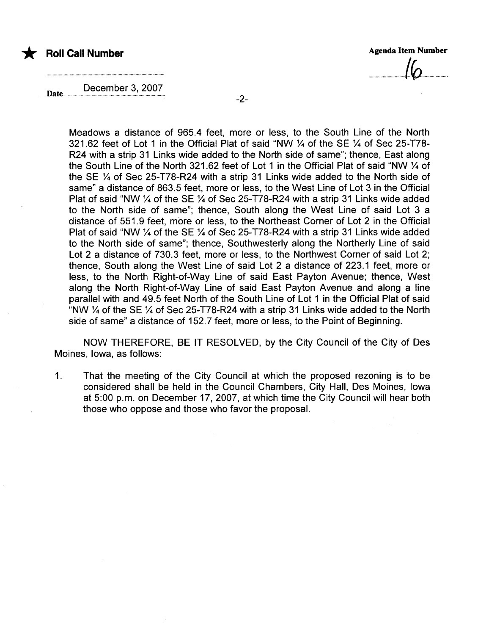



..............................0....................

December 3, 2007

Meadows a distance of 965.4 feet, more or less, to the South Line of the North 321.62 feet of Lot 1 in the Official Plat of said "NW % of the SE % of Sec 25-T78- R24 with a strip 31 Links wide added to the North side of same"; thence, East along the South Line of the North 321.62 feet of Lot 1 in the Official Plat of said "NW % of the SE % of Sec 25-T78-R24 with a strip 31 Links wide added to the North side of same" a distance of 863.5 feet, more or less, to the West Line of Lot 3 in the Official Plat of said "NW % of the SE % of Sec 25-T78-R24 with a strip 31 Links wide added to the North side of same"; thence, South along the West Line of said Lot 3 a distance of 551.9 feet, more or less, to the Northeast Corner of Lot 2 in the Official Plat of said "NW 1/4 of the SE 1/4 of Sec 25-T78-R24 with a strip 31 Links wide added to the North side of same"; thence, Southwesterly along the Northerly Line of said Lot 2 a distance of 730.3 feet, more or less, to the Northwest Corner of said Lot 2; thence, South along the West Line of said Lot 2 a distance of 223.1 feet, more or less, to the North Right-of-Way Line of said East Payton Avenue; thence, West along the North Right-of-Way Line of said East Payton Avenue and along a line parallel with and 49.5 feet North of the South Line of Lot 1 in the Official Plat of said "NW  $\frac{1}{4}$  of the SE  $\frac{1}{4}$  of Sec 25-T78-R24 with a strip 31 Links wide added to the North side of same" a distance of 152.7 feet, more or less, to the Point of Beginning.

NOW THEREFORE, BE IT RESOLVED, by the City Council of the City of Des Moines, Iowa, as follows:

1. That the meeting of the City Council at which the proposed rezoning is to be considered shall be held in the Council Chambers, City Hall, Des Moines, Iowa at 5:00 p.m. on December 17,2007, at which time the City Council will hear both those who oppose and those who favor the proposaL.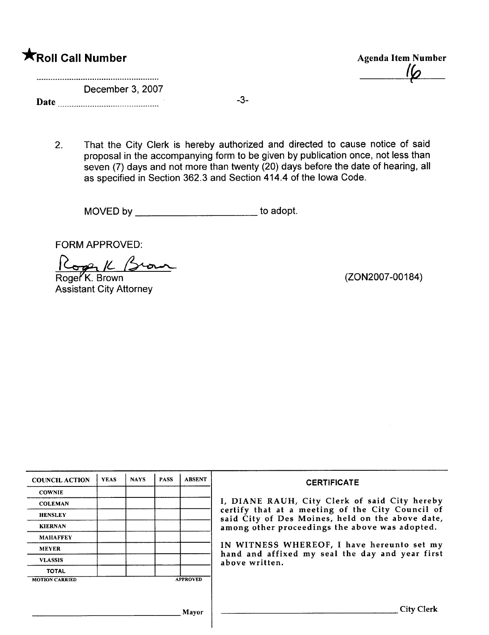| <b>XRoll Call Number</b> |  |  |
|--------------------------|--|--|

Agenda Item Number  $I$ 

December 3, 2007

Date -3-

2. That the City Clerk is hereby authorized and directed to cause notice of said proposal in the accompanying form to be given by publication once, not less than seven (7) days and not more than twenty (20) days before the date of hearing, all as specified in Section 362.3 and Section 414.4 of the Iowa Code.

MOVED by \_\_\_\_\_\_\_\_\_\_\_\_\_\_\_\_\_\_\_\_\_\_\_\_\_\_\_\_\_ to adopt.

FORM APPROVED:

Roger<sup>K</sup>. Brown  $R_{opt}/L$  (Scorn

Assistant City Attorney

(ZON2007-00184)

| <b>COUNCIL ACTION</b> | <b>YEAS</b> | <b>NAYS</b> | <b>PASS</b> | <b>ABSENT</b>   | <b>CERTIFICATE</b>                                                                                   |
|-----------------------|-------------|-------------|-------------|-----------------|------------------------------------------------------------------------------------------------------|
| <b>COWNIE</b>         |             |             |             |                 |                                                                                                      |
| <b>COLEMAN</b>        |             |             |             |                 | I, DIANE RAUH, City Clerk of said City hereby                                                        |
| <b>HENSLEY</b>        |             |             |             |                 | certify that at a meeting of the City Council of<br>said City of Des Moines, held on the above date, |
| <b>KIERNAN</b>        |             |             |             |                 | among other proceedings the above was adopted.                                                       |
| <b>MAHAFFEY</b>       |             |             |             |                 |                                                                                                      |
| <b>MEYER</b>          |             |             |             |                 | IN WITNESS WHEREOF, I have hereunto set my<br>hand and affixed my seal the day and year first        |
| <b>VLASSIS</b>        |             |             |             |                 | above written.                                                                                       |
| <b>TOTAL</b>          |             |             |             |                 |                                                                                                      |
| <b>MOTION CARRIED</b> |             |             |             | <b>APPROVED</b> |                                                                                                      |
|                       |             |             |             |                 |                                                                                                      |
|                       |             |             |             |                 |                                                                                                      |
|                       |             |             |             | Mayor           | <b>City Clerk</b>                                                                                    |
|                       |             |             |             |                 |                                                                                                      |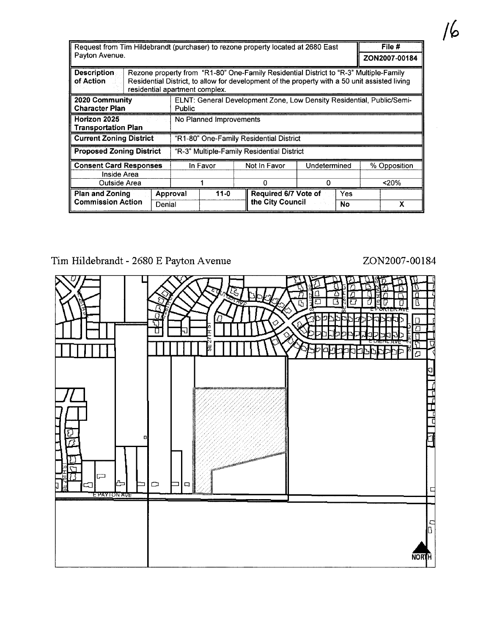| Request from Tim Hildebrandt (purchaser) to rezone property located at 2680 East |                                                           |                                                                                                                                                                                                                          |  | File #                      |                  |               |  |  |
|----------------------------------------------------------------------------------|-----------------------------------------------------------|--------------------------------------------------------------------------------------------------------------------------------------------------------------------------------------------------------------------------|--|-----------------------------|------------------|---------------|--|--|
| Payton Avenue.                                                                   |                                                           |                                                                                                                                                                                                                          |  |                             |                  | ZON2007-00184 |  |  |
| <b>Description</b><br>of Action                                                  |                                                           | Rezone property from "R1-80" One-Family Residential District to "R-3" Multiple-Family<br>Residential District, to allow for development of the property with a 50 unit assisted living<br>residential apartment complex. |  |                             |                  |               |  |  |
| 2020 Community<br><b>Character Plan</b>                                          |                                                           | ELNT: General Development Zone, Low Density Residential, Public/Semi-<br><b>Public</b>                                                                                                                                   |  |                             |                  |               |  |  |
| Horizon 2025<br><b>Transportation Plan</b>                                       |                                                           | No Planned Improvements                                                                                                                                                                                                  |  |                             |                  |               |  |  |
| <b>Current Zoning District</b>                                                   |                                                           | "R1-80" One-Family Residential District                                                                                                                                                                                  |  |                             |                  |               |  |  |
| <b>Proposed Zoning District</b>                                                  |                                                           | "R-3" Multiple-Family Residential District                                                                                                                                                                               |  |                             |                  |               |  |  |
|                                                                                  | <b>Consent Card Responses</b><br>In Favor<br>Not In Favor |                                                                                                                                                                                                                          |  |                             | Undetermined     | % Opposition  |  |  |
| Inside Area                                                                      |                                                           |                                                                                                                                                                                                                          |  |                             |                  |               |  |  |
| Outside Area                                                                     |                                                           |                                                                                                                                                                                                                          |  |                             | O                | 20%           |  |  |
| <b>Plan and Zoning</b>                                                           | $11-0$<br>Approval                                        |                                                                                                                                                                                                                          |  | Required 6/7 Vote of<br>Yes |                  |               |  |  |
| <b>Commission Action</b>                                                         | Denial                                                    |                                                                                                                                                                                                                          |  |                             | the City Council | x             |  |  |

Tim Hildebrandt - 2680 E Payton Avenue ZON2007-00184

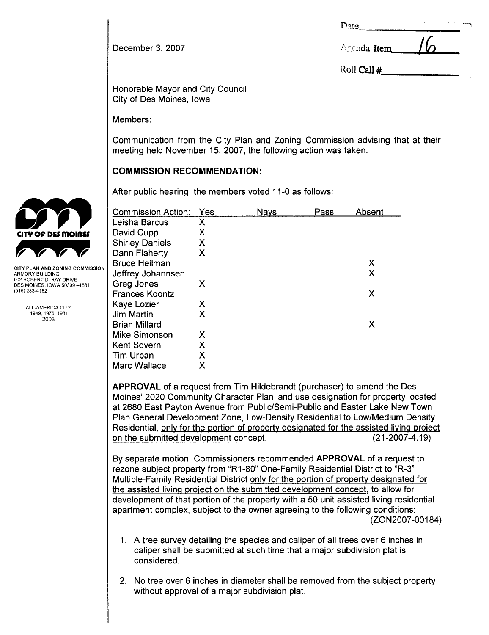| Date | $\sim$ | The same between the subsequences in the large car and | . . | <b>Contract Service</b> |
|------|--------|--------------------------------------------------------|-----|-------------------------|
|      |        |                                                        |     |                         |

| December 3, 2007 | $\land$ cenda Item $\Box$ / $\Box$ |
|------------------|------------------------------------|
|                  |                                    |

Roll Call #

Honorable Mayor and City Council City of Des Moines, Iowa

Members:

Communication from the City Plan and Zoning Commission advising that at their meeting held November 15,2007, the following action was taken:

# COMMISSION RECOMMENDATION:

|                                                                                                               | After public hearing, the members voted 11-0 as follows: |     |             |      |        |  |  |  |
|---------------------------------------------------------------------------------------------------------------|----------------------------------------------------------|-----|-------------|------|--------|--|--|--|
|                                                                                                               | <b>Commission Action:</b>                                | Yes | <b>Nays</b> | Pass | Absent |  |  |  |
|                                                                                                               | Leisha Barcus                                            | X   |             |      |        |  |  |  |
| CITY OF DES MOINES                                                                                            | David Cupp                                               | Х   |             |      |        |  |  |  |
|                                                                                                               | <b>Shirley Daniels</b>                                   | Χ   |             |      |        |  |  |  |
|                                                                                                               | Dann Flaherty                                            | Χ   |             |      |        |  |  |  |
|                                                                                                               | <b>Bruce Heilman</b>                                     |     |             |      | X      |  |  |  |
| CITY PLAN AND ZONING COMMISSION<br>ARMORY BUILDING<br>602 ROBERT D. RAY DRIVE<br>DES MOINES, IOWA 50309 –1881 | Jeffrey Johannsen                                        |     |             |      | X      |  |  |  |
|                                                                                                               | Greg Jones                                               | X   |             |      |        |  |  |  |
| (515) 283-4182                                                                                                | <b>Frances Koontz</b>                                    |     |             |      | X      |  |  |  |
| ALL-AMERICA CITY                                                                                              | Kaye Lozier                                              | Х   |             |      |        |  |  |  |
| 1949 1976 1981                                                                                                | Jim Martin                                               | Χ   |             |      |        |  |  |  |
| 2003                                                                                                          | <b>Brian Millard</b>                                     |     |             |      | X      |  |  |  |
|                                                                                                               | <b>Mike Simonson</b>                                     | X   |             |      |        |  |  |  |
|                                                                                                               | <b>Kent Sovern</b>                                       | Χ   |             |      |        |  |  |  |
|                                                                                                               | Tim Urban                                                | Χ   |             |      |        |  |  |  |
|                                                                                                               | Marc Wallace                                             | Χ   |             |      |        |  |  |  |

APPROVAL of a request from Tim Hildebrandt (purchaser) to amend the Des Moines' 2020 Community Character Plan land use designation for property located at 2680 East Payton Avenue from Public/Semi-Public and Easter Lake New Town Plan General Development Zone, Low-Density Residential to Low/Medium Density Residential, only for the portion of property designated for the assisted living project on the submitted development concept. (21-2007 -4.19)

By separate motion, Commissioners recommended APPROVAL of a request to rezone subject property from "R1-80" One-Family Residential District to "R-3" Multiple-Family Residential District only for the portion of property designated for the assisted living project on the submitted development concept, to allow for development of that portion of the property with a 50 unit assisted living residential apartment complex, subject to the owner agreeing to the following conditions: (ZON2007 -00184)

- 1, A tree survey detailing the species and caliper of all trees over 6 inches in caliper shall be submitted at such time that a major subdivision plat is considered.
- 2. No tree over 6 inches in diameter shall be removed from the subject property without approval of a major subdivision plat.

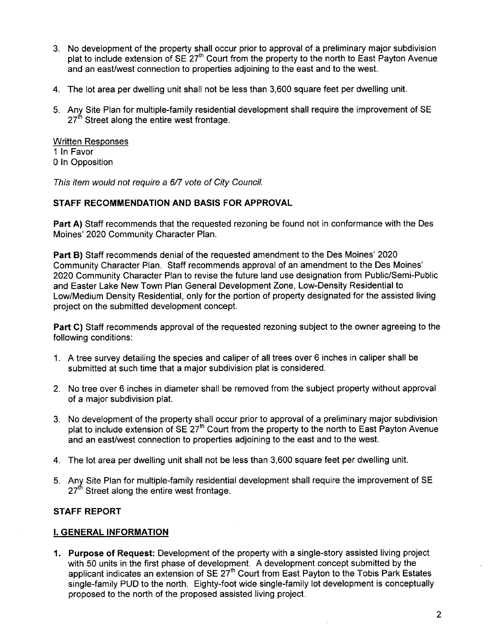- 3. No development of the property shall occur prior to approval of a preliminary major subdivision plat to include extension of  $SE 27<sup>th</sup>$  Court from the property to the north to East Payton Avenue and an east/west connection to properties adjoining to the east and to the west.
- 4. The lot area per dwelling unit shall not be less than 3,600 square feet per dwelling unit.
- 5. Any Site Plan for multiple-family residential development shall require the improvement of SE 27<sup>th</sup> Street along the entire west frontage.

Written Responses 1 In Favor o In Opposition

This item would not require a 6/7 vote of City Council.

## STAFF RECOMMENDATION AND BASIS FOR APPROVAL

Part A) Staff recommends that the requested rezoning be found not in conformance with the Des Moines' 2020 Community Character Plan.

Part B) Staff recommends denial of the requested amendment to the Des Moines' 2020 Community Character Plan. Staff recommends approval of an amendment to the Des Moines' 2020 Community Character Plan to revise the future land use designation from Public/Semi-Public and Easter Lake New Town Plan General Development Zone, Low-Density Residential to Low/Medium Density Residential, only for the portion of property designated for the assisted living project on the submitted development concept.

Part C) Staff recommends approval of the requested rezoning subject to the owner agreeing to the following conditions:

- 1. A tree survey detailing the species and caliper of all trees over 6 inches in caliper shall be submitted at such time that a major subdivision plat is considered.
- 2, No tree over 6 inches in diameter shall be removed from the subject property without approval of a major subdivision plat.
- 3, No development of the property shall occur prior to approval of a preliminary major subdivision plat to include extension of SE 27<sup>th</sup> Court from the property to the north to East Payton Avenue and an east/west connection to properties adjoining to the east and to the west.
- 4. The lot area per dwelling unit shall not be less than 3,600 square feet per dwelling unit.
- 5. Any Site Plan for multiple-family residential development shall require the improvement of SE  $27<sup>th</sup>$  Street along the entire west frontage.

# STAFF REPORT

## i. GENERAL INFORMATION

1. Purpose of Request: Development of the property with a single-story assisted living project with 50 units in the first phase of development. A development concept submitted by the applicant indicates an extension of SE  $27<sup>th</sup>$  Court from East Payton to the Tobis Park Estates single-family PUD to the north. Eighty-foot wide single-family lot development is conceptually proposed to the north of the proposed assisted living project.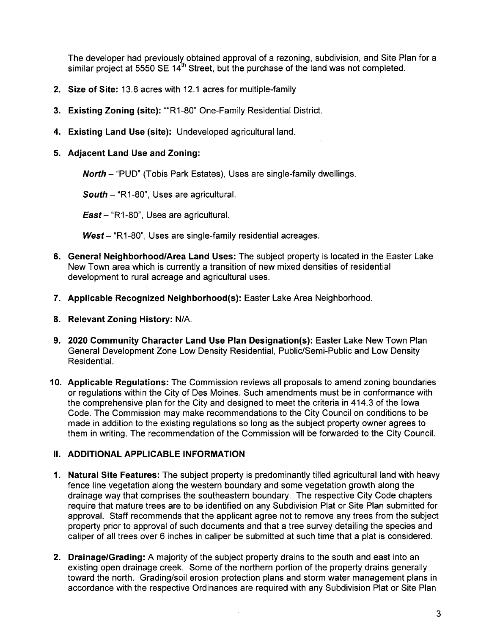The developer had previously obtained approval of a rezoning, subdivision, and Site Plan for a similar project at 5550 SE  $14<sup>th</sup>$  Street, but the purchase of the land was not completed.

- 2. Size of Site: 13.8 acres with 12,1 acres for multiple-family
- 3. Existing Zoning (site): ""R1-80" One-Family Residential District.
- 4. Existing Land Use (site): Undeveloped agricultural land.
- 5. Adjacent Land Use and Zoning:

North - "PUD" (Tobis Park Estates), Uses are single-family dwellings.

South  $-$  "R1-80", Uses are agricultural.

East - "R1-80", Uses are agricultural.

 $West - "R1-80"$ , Uses are single-family residential acreages.

- 6. General Neighborhood/Area Land Uses: The subject property is located in the Easter Lake New Town area which is currently a transition of new mixed densities of residential development to rural acreage and agricultural uses.
- 7. Applicable Recognized Neighborhood(s): Easter Lake Area Neighborhood.
- 8. Relevant Zoning History: N/A.
- 9. 2020 Community Character Land Use Plan Designation(s): Easter Lake New Town Plan General Development Zone Low Density Residential, Public/Semi-Public and Low Density **Residential**
- 10. Applicable Regulations: The Commission reviews all proposals to amend zoning boundaries or regulations within the City of Des Moines, Such amendments must be in conformance with the comprehensive plan for the City and designed to meet the criteria in 414.3 of the Iowa Code, The Commission may make recommendations to the City Council on conditions to be made in addition to the existing regulations so long as the subject property owner agrees to them in writing. The recommendation of the Commission will be forwarded to the City CounciL.

## II. ADDITIONAL APPLICABLE INFORMATION

- 1. Natural Site Features: The subject property is predominantly tilled agricultural land with heavy fence line vegetation along the western boundary and some vegetation growth along the drainage way that comprises the southeastern boundary. The respective City Code chapters require that mature trees are to be identified on any Subdivision Plat or Site Plan submitted for approval. Staff recommends that the applicant agree not to remove any trees from the subject property prior to approval of such documents and that a tree survey detailing the species and caliper of all trees over 6 inches in caliper be submitted at such time that a plat is considered.
- 2. Drainage/Grading: A majority of the subject property drains to the south and east into an existing open drainage creek. Some of the northern portion of the property drains generally toward the north. Grading/soil erosion protection plans and storm water management plans in accordance with the respective Ordinances are required with any Subdivision Plat or Site Plan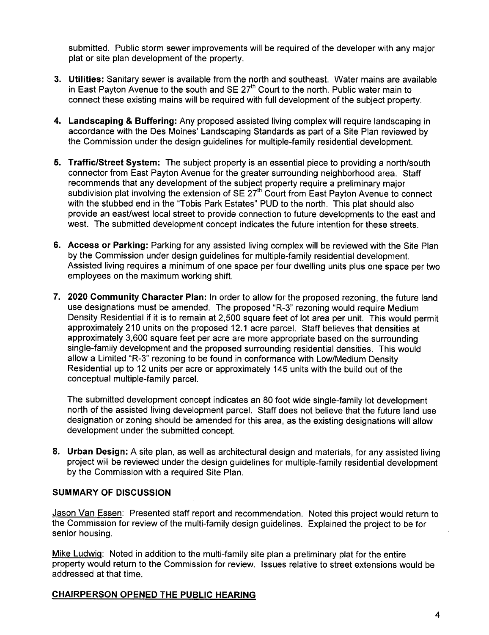submitted. Public storm sewer improvements will be required of the developer with any major plat or site plan development of the property.

- 3. Utilities: Sanitary sewer is available from the north and southeast. Water mains are available in East Payton Avenue to the south and SE 27<sup>th</sup> Court to the north. Public water main to connect these existing mains will be required with full development of the subject property.
- 4. Landscaping & Buffering: Any proposed assisted living complex will require landscaping in accordance with the Des Moines' Landscaping Standards as part of a Site Plan reviewed by the Commission under the design guidelines for multiple-family residential development.
- 5. Traffic/Street System: The subject property is an essential piece to providing a north/south connector from East Payton Avenue for the greater surrounding neighborhood area. Staff recommends that any development of the subject property require a preliminary major subdivision plat involving the extension of  $SE 27<sup>th</sup>$  Court from East Payton Avenue to connect with the stubbed end in the "Tobis Park Estates" PUD to the north. This plat should also provide an east/west local street to provide connection to future developments to the east and west. The submitted development concept indicates the future intention for these streets,
- 6. Access or Parking: Parking for any assisted living complex will be reviewed with the Site Plan by the Commission under design guidelines for multiple-family residential development. Assisted living requires a minimum of one space per four dwelling units plus one space per two employees on the maximum working shift.
- 7. 2020 Community Character Plan: In order to allow for the proposed rezoning, the future land use designations must be amended, The proposed "R-3" rezoning would require Medium Density Residential if it is to remain at 2,500 square feet of lot area per unit. This would permit approximately 210 units on the proposed 12.1 acre parcel. Staff believes that densities at approximately 3,600 square feet per acre are more appropriate based on the surrounding single-family development and the proposed surrounding residential densities. This would allow a Limited "R-3" rezoning to be found in conformance with Low/Medium Density Residential up to 12 units per acre or approximately 145 units with the build out of the conceptual multiple-family parceL.

The submitted development concept indicates an 80 foot wide single-family lot development north of the assisted living development parcel. Staff does not believe that the future land use designation or zoning should be amended for this area, as the existing designations will allow development under the submitted concept.

8. Urban Design: A site plan, as well as architectural design and materials, for any assisted living project will be reviewed under the design guidelines for multiple-family residential development by the Commission with a required Site Plan.

## SUMMARY OF DISCUSSION

Jason Van Essen: Presented staff report and recommendation. Noted this project would return to the Commission for review of the multi-family design guidelines. Explained the project to be for senior housing.

Mike LudwiQ: Noted in addition to the multi-family site plan a preliminary plat for the entire property would return to the Commission for review. Issues relative to street extensions would be addressed at that time.

# CHAIRPERSON OPENED THE PUBLIC HEARING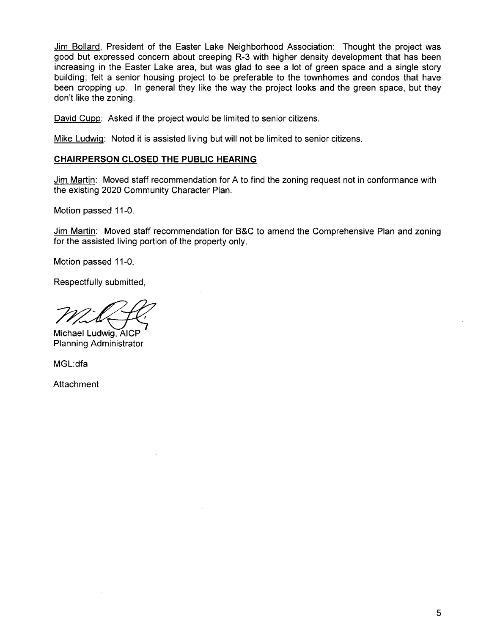Jim Bollard, President of the Easter Lake Neighborhood Association: Thought the project was good but expressed concern about creeping R-3 with higher density development that has been increasing in the Easter Lake area, but was glad to see a lot of green space and a single story building; felt a senior housing project to be preferable to the townhomes and condos that have been cropping up. In general they like the way the project looks and the green space, but they don't like the zoning,

David Cupp: Asked if the project would be limited to senior citizens.

Mike LudwiQ: Noted it is assisted living but will not be limited to senior citizens.

## CHAIRPERSON CLOSED THE PUBLIC HEARING

Jim Martin: Moved staff recommendation for A to find the zoning request not in conformance with the existing 2020 Community Character Plan.

Motion passed 11-0.

Jim Martin: Moved staff recommendation for B&C to amend the Comprehensive Plan and zoning for the assisted living portion of the property only.

Motion passed 11-0.

Respectfully submitted,

Michael Ludwig, AICP

Planning Administrator

MGL:dfa

Attachment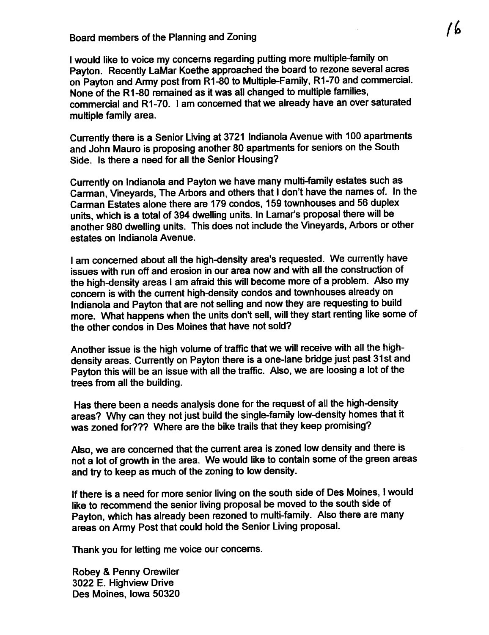I would like to voice my concerns regarding putting more multiple-family on Payton. Recently LaMar Koethe approached the board to rezone several acres on Payton and Army post from R1-80 to Multiple-Family, R1-70 and commercial. None of the R1-80 remained as it was all changed to multiple families, commercial and R1-70. i am concerned that we already have an over saturated multiple family area.

Currently there is a Senior Living at 3721 Indianola Avenue with 100 apartments and John Mauro is proposing another 80 apartments for seniors on the South Side. Is there a need for all the Senior Housing?

Currently on Indianola and Payton we have many multi-family estates such as Carman, Vineyards, The Arbors and others that I don't have the names of. In the Carman Estates alone there are 179 condos, 159 townhouses and 56 duplex units, which is a total of 394 dwelling units. In Lamar's proposal there will be another 980 dwellng units. This does not include the Vineyards, Arbors or other estates on Indianola Avenue.

I am concerned about all the high-density area's requested. We currently have issues with run off and erosion in our area now and with all the construction of the high-density areas I am afraid this will become more of a problem. Also my concern is with the current high-density condos and townhouses already on Indianola and Payton that are not sellng and now they are requesting to build more. What happens when the units don't sell, will they start renting like some of the other condos in Des Moines that have not sold?

Another issue is the high volume of traffic that we will receive with all the highdensity areas. Currently on Payton there is a one-lane bridge just past 31st and Payton this will be an issue with all the traffic. Also, we are loosing a lot of the trees from all the building.

Has there been a needs analysis done for the request of all the high-density areas? Why can they not just build the single-family low-density homes that it was zoned for??? Where are the bike trails that they keep promising?

Also, we are concerned that the current area is zoned low density and there is not a lot of growth in the area. We would like to contain some of the green areas and try to keep as much of the zoning to low density.

If there is a need for more senior living on the south side of Des Moines, I would like to recommend the senior living proposal be moved to the south side of Payton, which has already been rezoned to multi-family. Also there are many areas on Army Post that could hold the Senior Living proposaL.

Thank you for letting me voice our concerns.

Robey & Penny Orewiler 3022 E. Highview Drive Des Moines, Iowa 50320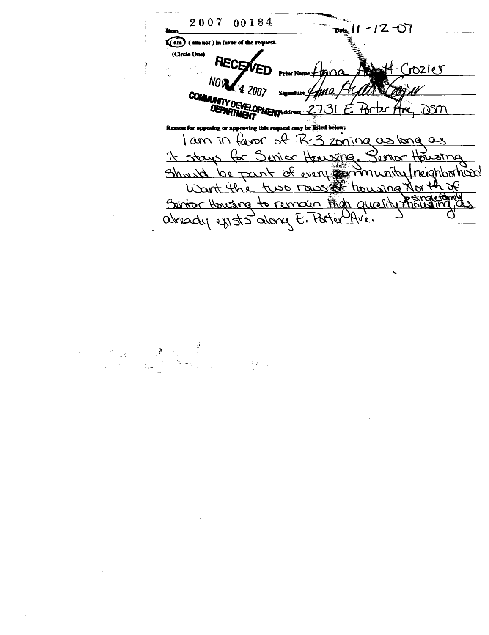2007 00184  $-12 - 0$ Itor  $\widehat{\mathbf{I}(\text{am})}$  (am not) (Circle One) RECENVED -Crozier hana NOW 4 2007 **COMMUNITY DEVELOPMENT ddress** E. Porter Are, DSM n for opposing or approving this request may be listed below: I am in favor of R-3 zoning as long as it stays for Sinicr Housing. Housing Should be part of every community/reighborhood Want the two rows of housing North of Servior Housing to remain from quality mousing, abrady exists dong E. Porter Ave.

 $\sim 34\%$